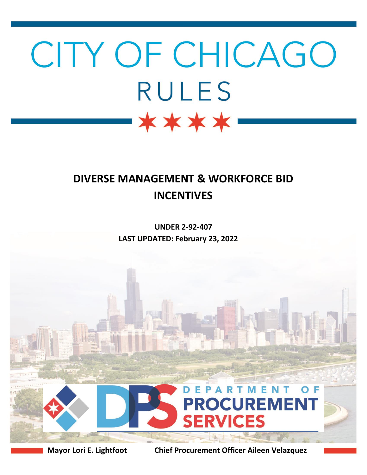# CITY OF CHICAGO **RULES** \*\*\*\*

## **DIVERSE MANAGEMENT & WORKFORCE BID INCENTIVES**

**UNDER 2-92-407 LAST UPDATED: February 23, 2022**



**Mayor Lori E. Lightfoot Chief Procurement Officer Aileen Velazquez**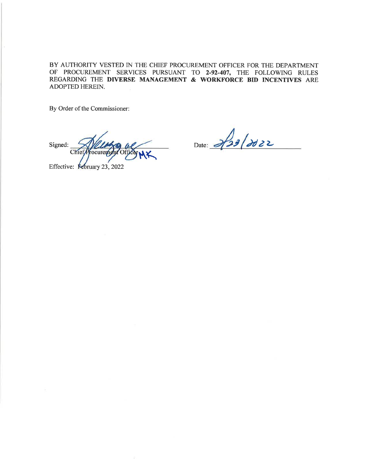BY AUTHORITY VESTED IN THE CHIEF PROCUREMENT OFFICER FOR THE DEPARTMENT OF PROCUREMENT SERVICES PURSUANT TO 2-92-407, THE FOLLOWING RULES REGARDING THE DIVERSE MANAGEMENT  $\&$  WORKFORCE BID INCENTIVES ARE ADOPTED HEREIN.

By Order of the Commissioner:

Signed: **Chief** ocureme

Effective: Kebruary 23, 2022

Date: 2/23/2022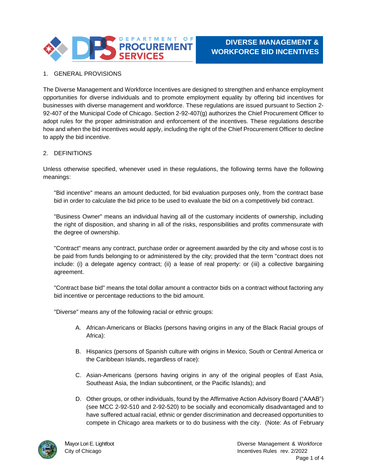

### 1. GENERAL PROVISIONS

The Diverse Management and Workforce Incentives are designed to strengthen and enhance employment opportunities for diverse individuals and to promote employment equality by offering bid incentives for businesses with diverse management and workforce. These regulations are issued pursuant to Section 2- 92-407 of the Municipal Code of Chicago. Section 2-92-407(g) authorizes the Chief Procurement Officer to adopt rules for the proper administration and enforcement of the incentives. These regulations describe how and when the bid incentives would apply, including the right of the Chief Procurement Officer to decline to apply the bid incentive.

#### 2. DEFINITIONS

Unless otherwise specified, whenever used in these regulations, the following terms have the following meanings:

"Bid incentive" means an amount deducted, for bid evaluation purposes only, from the contract base bid in order to calculate the bid price to be used to evaluate the bid on a competitively bid contract.

"Business Owner" means an individual having all of the customary incidents of ownership, including the right of disposition, and sharing in all of the risks, responsibilities and profits commensurate with the degree of ownership.

"Contract" means any contract, purchase order or agreement awarded by the city and whose cost is to be paid from funds belonging to or administered by the city; provided that the term "contract does not include: (i) a delegate agency contract; (ii) a lease of real property: or (iii) a collective bargaining agreement.

"Contract base bid" means the total dollar amount a contractor bids on a contract without factoring any bid incentive or percentage reductions to the bid amount.

"Diverse" means any of the following racial or ethnic groups:

- A. African-Americans or Blacks (persons having origins in any of the Black Racial groups of Africa):
- B. Hispanics (persons of Spanish culture with origins in Mexico, South or Central America or the Caribbean Islands, regardless of race):
- C. Asian-Americans (persons having origins in any of the original peoples of East Asia, Southeast Asia, the Indian subcontinent, or the Pacific Islands); and
- D. Other groups, or other individuals, found by the Affirmative Action Advisory Board ("AAAB") (see MCC 2-92-510 and 2-92-520) to be socially and economically disadvantaged and to have suffered actual racial, ethnic or gender discrimination and decreased opportunities to compete in Chicago area markets or to do business with the city. (Note: As of February

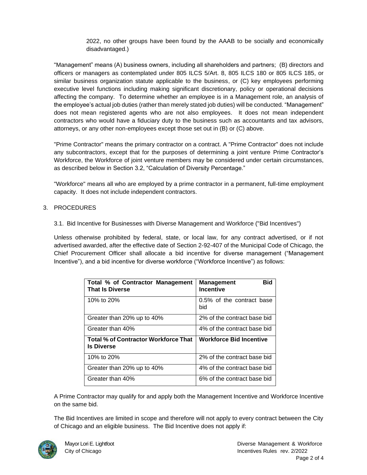2022, no other groups have been found by the AAAB to be socially and economically disadvantaged.)

"Management" means (A) business owners, including all shareholders and partners; (B) directors and officers or managers as contemplated under 805 ILCS 5/Art. 8, 805 ILCS 180 or 805 ILCS 185, or similar business organization statute applicable to the business, or (C) key employees performing executive level functions including making significant discretionary, policy or operational decisions affecting the company. To determine whether an employee is in a Management role, an analysis of the employee's actual job duties (rather than merely stated job duties) will be conducted. "Management" does not mean registered agents who are not also employees. It does not mean independent contractors who would have a fiduciary duty to the business such as accountants and tax advisors, attorneys, or any other non-employees except those set out in (B) or (C) above.

"Prime Contractor" means the primary contractor on a contract. A "Prime Contractor" does not include any subcontractors, except that for the purposes of determining a joint venture Prime Contractor's Workforce, the Workforce of joint venture members may be considered under certain circumstances, as described below in Section 3.2, "Calculation of Diversity Percentage."

"Workforce" means all who are employed by a prime contractor in a permanent, full-time employment capacity. It does not include independent contractors.

#### 3. PROCEDURES

3.1. Bid Incentive for Businesses with Diverse Management and Workforce ("Bid Incentives")

Unless otherwise prohibited by federal, state, or local law, for any contract advertised, or if not advertised awarded, after the effective date of Section 2-92-407 of the Municipal Code of Chicago, the Chief Procurement Officer shall allocate a bid incentive for diverse management ("Management Incentive"), and a bid incentive for diverse workforce ("Workforce Incentive") as follows:

| Total % of Contractor Management<br><b>That Is Diverse</b>       | <b>Bid</b><br><b>Management</b><br><b>Incentive</b> |
|------------------------------------------------------------------|-----------------------------------------------------|
| 10% to 20%                                                       | 0.5% of the contract base<br>bid                    |
| Greater than 20% up to 40%                                       | 2% of the contract base bid                         |
| Greater than 40%                                                 | 4% of the contract base bid                         |
| <b>Total % of Contractor Workforce That</b><br><b>Is Diverse</b> | <b>Workforce Bid Incentive</b>                      |
| 10% to 20%                                                       | 2% of the contract base bid                         |
| Greater than 20% up to 40%                                       | 4% of the contract base bid                         |
| Greater than 40%                                                 | 6% of the contract base bid                         |

A Prime Contractor may qualify for and apply both the Management Incentive and Workforce Incentive on the same bid.

The Bid Incentives are limited in scope and therefore will not apply to every contract between the City of Chicago and an eligible business. The Bid Incentive does not apply if:

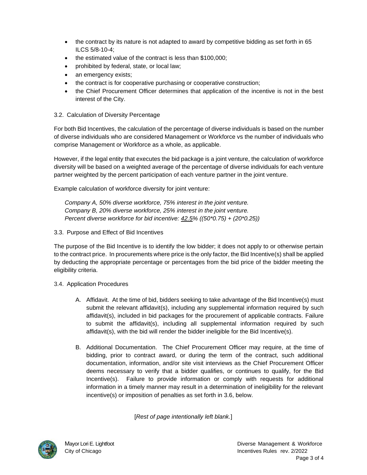- the contract by its nature is not adapted to award by competitive bidding as set forth in 65 ILCS 5/8-10-4;
- the estimated value of the contract is less than \$100,000;
- prohibited by federal, state, or local law;
- an emergency exists;
- the contract is for cooperative purchasing or cooperative construction;
- the Chief Procurement Officer determines that application of the incentive is not in the best interest of the City.
- 3.2. Calculation of Diversity Percentage

For both Bid Incentives, the calculation of the percentage of diverse individuals is based on the number of diverse individuals who are considered Management or Workforce vs the number of individuals who comprise Management or Workforce as a whole, as applicable.

However, if the legal entity that executes the bid package is a joint venture, the calculation of workforce diversity will be based on a weighted average of the percentage of diverse individuals for each venture partner weighted by the percent participation of each venture partner in the joint venture.

Example calculation of workforce diversity for joint venture:

*Company A, 50% diverse workforce, 75% interest in the joint venture. Company B, 20% diverse workforce, 25% interest in the joint venture. Percent diverse workforce for bid incentive: 42.5% ((50\*0.75) + (20\*0.25))*

3.3. Purpose and Effect of Bid Incentives

The purpose of the Bid Incentive is to identify the low bidder; it does not apply to or otherwise pertain to the contract price. In procurements where price is the only factor, the Bid Incentive(s) shall be applied by deducting the appropriate percentage or percentages from the bid price of the bidder meeting the eligibility criteria.

- 3.4. Application Procedures
	- A. Affidavit. At the time of bid, bidders seeking to take advantage of the Bid Incentive(s) must submit the relevant affidavit(s), including any supplemental information required by such affidavit(s), included in bid packages for the procurement of applicable contracts. Failure to submit the affidavit(s), including all supplemental information required by such affidavit(s), with the bid will render the bidder ineligible for the Bid Incentive(s).
	- B. Additional Documentation. The Chief Procurement Officer may require, at the time of bidding, prior to contract award, or during the term of the contract, such additional documentation, information, and/or site visit interviews as the Chief Procurement Officer deems necessary to verify that a bidder qualifies, or continues to qualify, for the Bid Incentive(s). Failure to provide information or comply with requests for additional information in a timely manner may result in a determination of ineligibility for the relevant incentive(s) or imposition of penalties as set forth in 3.6, below.

[*Rest of page intentionally left blank.*]